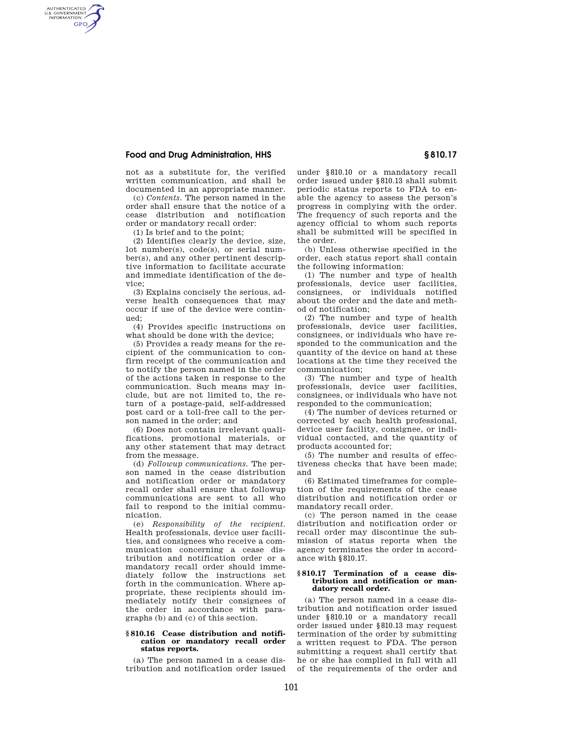## **Food and Drug Administration, HHS § 810.17**

AUTHENTICATED<br>U.S. GOVERNMENT<br>INFORMATION **GPO** 

> not as a substitute for, the verified written communication, and shall be documented in an appropriate manner.

(c) *Contents.* The person named in the order shall ensure that the notice of a cease distribution and notification order or mandatory recall order:

(1) Is brief and to the point;

(2) Identifies clearly the device, size, lot number(s), code(s), or serial number(s), and any other pertinent descriptive information to facilitate accurate and immediate identification of the device;

(3) Explains concisely the serious, adverse health consequences that may occur if use of the device were continued;

(4) Provides specific instructions on what should be done with the device;

(5) Provides a ready means for the recipient of the communication to confirm receipt of the communication and to notify the person named in the order of the actions taken in response to the communication. Such means may include, but are not limited to, the return of a postage-paid, self-addressed post card or a toll-free call to the person named in the order; and

(6) Does not contain irrelevant qualifications, promotional materials, or any other statement that may detract from the message.

(d) *Followup communications.* The person named in the cease distribution and notification order or mandatory recall order shall ensure that followup communications are sent to all who fail to respond to the initial communication.

(e) *Responsibility of the recipient.*  Health professionals, device user facilities, and consignees who receive a communication concerning a cease distribution and notification order or a mandatory recall order should immediately follow the instructions set forth in the communication. Where appropriate, these recipients should immediately notify their consignees of the order in accordance with paragraphs (b) and (c) of this section.

#### **§ 810.16 Cease distribution and notification or mandatory recall order status reports.**

(a) The person named in a cease distribution and notification order issued

under §810.10 or a mandatory recall order issued under §810.13 shall submit periodic status reports to FDA to enable the agency to assess the person's progress in complying with the order. The frequency of such reports and the agency official to whom such reports shall be submitted will be specified in the order.

(b) Unless otherwise specified in the order, each status report shall contain the following information:

(1) The number and type of health professionals, device user facilities, consignees, or individuals notified about the order and the date and method of notification;

(2) The number and type of health professionals, device user facilities, consignees, or individuals who have responded to the communication and the quantity of the device on hand at these locations at the time they received the communication;

(3) The number and type of health professionals, device user facilities, consignees, or individuals who have not responded to the communication;

(4) The number of devices returned or corrected by each health professional, device user facility, consignee, or individual contacted, and the quantity of products accounted for;

(5) The number and results of effectiveness checks that have been made; and

(6) Estimated timeframes for completion of the requirements of the cease distribution and notification order or mandatory recall order.

(c) The person named in the cease distribution and notification order or recall order may discontinue the submission of status reports when the agency terminates the order in accordance with §810.17.

#### **§ 810.17 Termination of a cease distribution and notification or mandatory recall order.**

(a) The person named in a cease distribution and notification order issued under §810.10 or a mandatory recall order issued under §810.13 may request termination of the order by submitting a written request to FDA. The person submitting a request shall certify that he or she has complied in full with all of the requirements of the order and